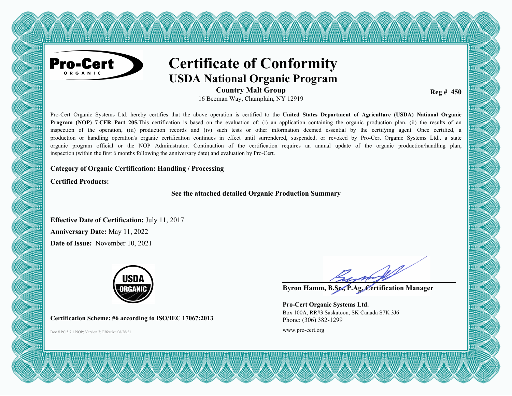

# **Certificate of Conformity USDA National Organic Program**

<u>TAN TANTAN TAN TAN TAN TAN TAN</u>

**Country Malt Group** 16 Beeman Way, Champlain, NY 12919

**Reg # 450** 

Pro-Cert Organic Systems Ltd. hereby certifies that the above operation is certified to the **United States Department of Agriculture (USDA) National Organic Program (NOP) 7 CFR Part 205.**This certification is based on the evaluation of: (i) an application containing the organic production plan, (ii) the results of an inspection of the operation, (iii) production records and (iv) such tests or other information deemed essential by the certifying agent. Once certified, a production or handling operation's organic certification continues in effect until surrendered, suspended, or revoked by Pro-Cert Organic Systems Ltd., a state organic program official or the NOP Administrator. Continuation of the certification requires an annual update of the organic production/handling plan, inspection (within the first 6 months following the anniversary date) and evaluation by Pro-Cert.

#### **Category of Organic Certification: Handling / Processing**

**Certified Products:**

**See the attached detailed Organic Production Summary**

**Effective Date of Certification:** July 11, 2017 **Anniversary Date:** May 11, 2022 **Date of Issue:** November 10, 2021



**Certification Scheme: #6 according to ISO/IEC 17067:2013**

Doc # PC 5.7.1 NOP; Version 7; Effective 08/26/21 www.pro-cert.org

**Byron Hamm, B.Sc., P.Ag. Certification Manager**

**Pro-Cert Organic Systems Ltd.** Box 100A, RR#3 Saskatoon, SK Canada S7K 3J6 Phone: (306) 382-1299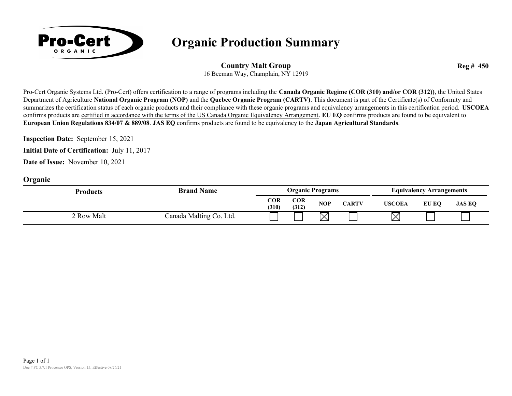

## **Organic Production Summary**

#### **Country Malt Group**

**Reg # 450**

16 Beeman Way, Champlain, NY 12919

Pro-Cert Organic Systems Ltd. (Pro-Cert) offers certification to a range of programs including the **Canada Organic Regime (COR (310) and/or COR (312))**, the United States Department of Agriculture **National Organic Program (NOP)** and the **Quebec Organic Program (CARTV)**. This document is part of the Certificate(s) of Conformity and summarizes the certification status of each organic products and their compliance with these organic programs and equivalency arrangements in this certification period. **USCOEA** confirms products are certified in accordance with the terms of the US Canada Organic Equivalency Arrangement. **EU EQ** confirms products are found to be equivalent to **European Union Regulations 834/07 & 889/08**. **JAS EQ** confirms products are found to be equivalency to the **Japan Agricultural Standards**.

**Inspection Date:** September 15, 2021

**Initial Date of Certification:** July 11, 2017

**Date of Issue:** November 10, 2021

#### **Organic**

| <b>Products</b> | <b>Brand Name</b>       | <b>Organic Programs</b> |              |     |              | <b>Equivalency Arrangements</b> |       |               |  |
|-----------------|-------------------------|-------------------------|--------------|-----|--------------|---------------------------------|-------|---------------|--|
|                 |                         | COR<br>(310)            | COR<br>(312) | NOP | <b>CARTV</b> | <b>USCOEA</b>                   | EU EO | <b>JAS EQ</b> |  |
| 2 Row Malt      | Canada Malting Co. Ltd. |                         |              | ⋉   |              | $\times$                        |       |               |  |